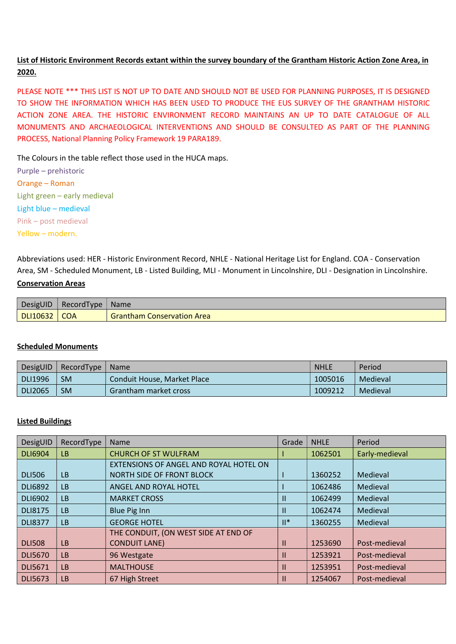## List of Historic Environment Records extant within the survey boundary of the Grantham Historic Action Zone Area, in 2020.

PLEASE NOTE \*\*\* THIS LIST IS NOT UP TO DATE AND SHOULD NOT BE USED FOR PLANNING PURPOSES, IT IS DESIGNED TO SHOW THE INFORMATION WHICH HAS BEEN USED TO PRODUCE THE EUS SURVEY OF THE GRANTHAM HISTORIC ACTION ZONE AREA. THE HISTORIC ENVIRONMENT RECORD MAINTAINS AN UP TO DATE CATALOGUE OF ALL MONUMENTS AND ARCHAEOLOGICAL INTERVENTIONS AND SHOULD BE CONSULTED AS PART OF THE PLANNING PROCESS, National Planning Policy Framework 19 PARA189.

The Colours in the table reflect those used in the HUCA maps.

Purple – prehistoric Orange – Roman Light green – early medieval Light blue – medieval Pink – post medieval Yellow – modern.

Abbreviations used: HER - Historic Environment Record, NHLE - National Heritage List for England. COA - Conservation Area, SM - Scheduled Monument, LB - Listed Building, MLI - Monument in Lincolnshire, DLI - Designation in Lincolnshire. Conservation Areas

| DesigUID              | RecordType | <b>Name</b>                       |
|-----------------------|------------|-----------------------------------|
| <b>DLI10632   COA</b> |            | <b>Grantham Conservation Area</b> |

## Scheduled Monuments

| DesigUID | RecordType | <b>Name</b>                  | <b>NHLE</b> | Period   |
|----------|------------|------------------------------|-------------|----------|
| DLI1996  | <b>SM</b>  | Conduit House, Market Place  | 1005016     | Medieval |
| DLI2065  | <b>SM</b>  | <b>Grantham market cross</b> | 1009212     | Medieval |

## Listed Buildings

| DesigUID       | RecordType | <b>Name</b><br>Grade                   |               | <b>NHLE</b> | Period         |
|----------------|------------|----------------------------------------|---------------|-------------|----------------|
| <b>DLI6904</b> | <b>LB</b>  | <b>CHURCH OF ST WULFRAM</b>            |               | 1062501     | Early-medieval |
|                |            | EXTENSIONS OF ANGEL AND ROYAL HOTEL ON |               |             |                |
| <b>DLI506</b>  | <b>LB</b>  | NORTH SIDE OF FRONT BLOCK              |               | 1360252     | Medieval       |
| <b>DLI6892</b> | <b>LB</b>  | ANGEL AND ROYAL HOTEL                  |               | 1062486     | Medieval       |
| <b>DLI6902</b> | <b>LB</b>  | <b>MARKET CROSS</b>                    | $\mathbf{II}$ | 1062499     | Medieval       |
| <b>DLI8175</b> | <b>LB</b>  | Blue Pig Inn                           | $\mathbf{H}$  | 1062474     | Medieval       |
| <b>DLI8377</b> | <b>LB</b>  | <b>GEORGE HOTEL</b>                    | $  ^*$        | 1360255     | Medieval       |
|                |            | THE CONDUIT, (ON WEST SIDE AT END OF   |               |             |                |
| <b>DLI508</b>  | <b>LB</b>  | <b>CONDUIT LANE)</b>                   | Ш             | 1253690     | Post-medieval  |
| <b>DLI5670</b> | <b>LB</b>  | 96 Westgate                            | Ш             | 1253921     | Post-medieval  |
| <b>DLI5671</b> | <b>LB</b>  | <b>MALTHOUSE</b>                       | Ш             | 1253951     | Post-medieval  |
| <b>DLI5673</b> | <b>LB</b>  | 67 High Street                         | Ш             | 1254067     | Post-medieval  |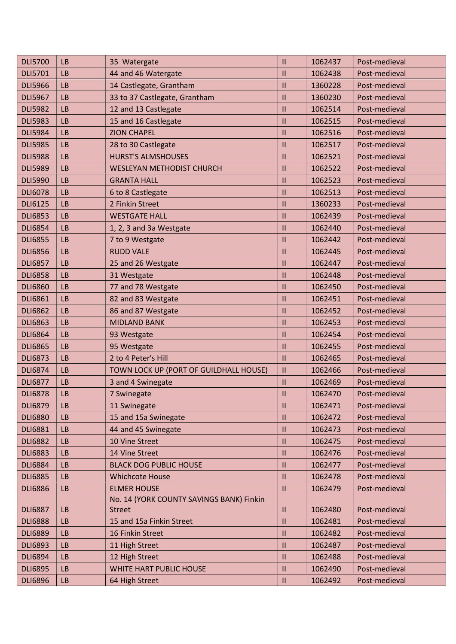| <b>DLI5700</b> | <b>LB</b> | 35 Watergate                             | $\mathbf{II}$ | 1062437 | Post-medieval |
|----------------|-----------|------------------------------------------|---------------|---------|---------------|
| <b>DLI5701</b> | <b>LB</b> | 44 and 46 Watergate<br>$\mathbf{II}$     |               | 1062438 | Post-medieval |
| <b>DLI5966</b> | <b>LB</b> | 14 Castlegate, Grantham<br>$\mathbf{II}$ |               | 1360228 | Post-medieval |
| <b>DLI5967</b> | <b>LB</b> | 33 to 37 Castlegate, Grantham            | $\mathbf{II}$ | 1360230 | Post-medieval |
| <b>DLI5982</b> | <b>LB</b> | 12 and 13 Castlegate                     | $\mathbf{II}$ | 1062514 | Post-medieval |
| <b>DLI5983</b> | <b>LB</b> | 15 and 16 Castlegate                     | $\mathbf{II}$ | 1062515 | Post-medieval |
| <b>DLI5984</b> | <b>LB</b> | <b>ZION CHAPEL</b>                       | $\mathbf{II}$ | 1062516 | Post-medieval |
| <b>DLI5985</b> | <b>LB</b> | 28 to 30 Castlegate                      | $\mathbf{II}$ | 1062517 | Post-medieval |
| <b>DLI5988</b> | <b>LB</b> | <b>HURST'S ALMSHOUSES</b>                | $\mathbf{II}$ | 1062521 | Post-medieval |
| <b>DLI5989</b> | <b>LB</b> | <b>WESLEYAN METHODIST CHURCH</b>         | $\mathbf{II}$ | 1062522 | Post-medieval |
| <b>DLI5990</b> | <b>LB</b> | <b>GRANTA HALL</b>                       | $\mathbf{II}$ | 1062523 | Post-medieval |
| <b>DLI6078</b> | <b>LB</b> | 6 to 8 Castlegate                        | $\mathbf{II}$ | 1062513 | Post-medieval |
| <b>DLI6125</b> | <b>LB</b> | 2 Finkin Street                          | $\mathbf{II}$ | 1360233 | Post-medieval |
| <b>DLI6853</b> | <b>LB</b> | <b>WESTGATE HALL</b>                     | $\mathbf{II}$ | 1062439 | Post-medieval |
| <b>DLI6854</b> | <b>LB</b> | 1, 2, 3 and 3a Westgate                  | $\mathbf{II}$ | 1062440 | Post-medieval |
| <b>DLI6855</b> | <b>LB</b> | 7 to 9 Westgate                          | $\mathbf{II}$ | 1062442 | Post-medieval |
| <b>DLI6856</b> | <b>LB</b> | <b>RUDD VALE</b>                         | $\mathbf{II}$ | 1062445 | Post-medieval |
| <b>DLI6857</b> | <b>LB</b> | 25 and 26 Westgate                       | $\mathbf{II}$ | 1062447 | Post-medieval |
| <b>DLI6858</b> | <b>LB</b> | 31 Westgate                              | $\mathbf{II}$ | 1062448 | Post-medieval |
| <b>DLI6860</b> | <b>LB</b> | 77 and 78 Westgate                       | $\mathbf{II}$ | 1062450 | Post-medieval |
| <b>DLI6861</b> | <b>LB</b> | $\mathbf{II}$<br>82 and 83 Westgate      |               | 1062451 | Post-medieval |
| <b>DLI6862</b> | <b>LB</b> | 86 and 87 Westgate<br>$\mathbf{II}$      |               | 1062452 | Post-medieval |
| <b>DLI6863</b> | <b>LB</b> | $\mathbf{I}$<br><b>MIDLAND BANK</b>      |               | 1062453 | Post-medieval |
| <b>DLI6864</b> | <b>LB</b> | 93 Westgate                              | $\mathbf{II}$ | 1062454 | Post-medieval |
| <b>DLI6865</b> | <b>LB</b> | 95 Westgate                              | $\mathbf{II}$ | 1062455 | Post-medieval |
| <b>DLI6873</b> | <b>LB</b> | 2 to 4 Peter's Hill                      | $\mathbf{II}$ | 1062465 | Post-medieval |
| <b>DLI6874</b> | <b>LB</b> | TOWN LOCK UP (PORT OF GUILDHALL HOUSE)   | $\mathbf{II}$ | 1062466 | Post-medieval |
| <b>DLI6877</b> | <b>LB</b> | 3 and 4 Swinegate                        | $\mathbf{II}$ | 1062469 | Post-medieval |
| <b>DLI6878</b> | <b>LB</b> | 7 Swinegate                              | $\mathbf{II}$ | 1062470 | Post-medieval |
| <b>DLI6879</b> | <b>LB</b> | 11 Swinegate                             | $\mathbf{II}$ | 1062471 | Post-medieval |
| <b>DLI6880</b> | <b>LB</b> | 15 and 15a Swinegate                     | $\mathbf{II}$ | 1062472 | Post-medieval |
| <b>DLI6881</b> | <b>LB</b> | 44 and 45 Swinegate                      | $\mathbf{II}$ | 1062473 | Post-medieval |
| <b>DLI6882</b> | <b>LB</b> | 10 Vine Street                           | $\mathbf{II}$ | 1062475 | Post-medieval |
| <b>DLI6883</b> | <b>LB</b> | 14 Vine Street                           | $\mathbf{II}$ | 1062476 | Post-medieval |
| <b>DLI6884</b> | <b>LB</b> | <b>BLACK DOG PUBLIC HOUSE</b>            | $\mathbf{II}$ | 1062477 | Post-medieval |
| <b>DLI6885</b> | <b>LB</b> | <b>Whichcote House</b>                   | $\mathbf{II}$ | 1062478 | Post-medieval |
| <b>DLI6886</b> | <b>LB</b> | <b>ELMER HOUSE</b>                       | $\mathbf{II}$ | 1062479 | Post-medieval |
|                |           | No. 14 (YORK COUNTY SAVINGS BANK) Finkin |               |         |               |
| <b>DLI6887</b> | <b>LB</b> | <b>Street</b>                            | $\mathbf{II}$ | 1062480 | Post-medieval |
| <b>DLI6888</b> | <b>LB</b> | 15 and 15a Finkin Street                 | $\mathbf{II}$ | 1062481 | Post-medieval |
| <b>DLI6889</b> | <b>LB</b> | 16 Finkin Street                         | $\mathbf{II}$ | 1062482 | Post-medieval |
| <b>DLI6893</b> | <b>LB</b> | 11 High Street                           | $\mathbf{H}$  | 1062487 | Post-medieval |
| <b>DLI6894</b> | <b>LB</b> | 12 High Street                           | $\mathbf{II}$ | 1062488 | Post-medieval |
| <b>DLI6895</b> | <b>LB</b> | WHITE HART PUBLIC HOUSE                  | $\mathbf{II}$ | 1062490 | Post-medieval |
| <b>DLI6896</b> | LB        | 64 High Street                           | $\mathbf{II}$ | 1062492 | Post-medieval |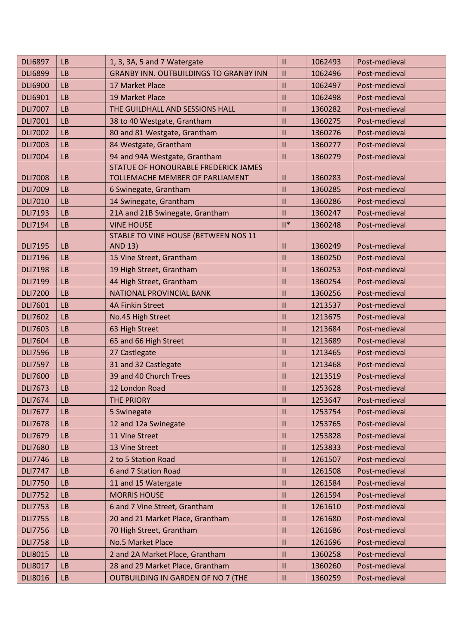| <b>DLI6897</b> | <b>LB</b> | 1, 3, 3A, 5 and 7 Watergate                   | $\mathbf{II}$ | 1062493 | Post-medieval |
|----------------|-----------|-----------------------------------------------|---------------|---------|---------------|
| <b>DLI6899</b> | <b>LB</b> | <b>GRANBY INN. OUTBUILDINGS TO GRANBY INN</b> |               | 1062496 | Post-medieval |
| <b>DLI6900</b> | <b>LB</b> | 17 Market Place                               |               | 1062497 | Post-medieval |
| <b>DLI6901</b> | <b>LB</b> | 19 Market Place                               | $\mathbf{II}$ | 1062498 | Post-medieval |
| <b>DLI7007</b> | <b>LB</b> | THE GUILDHALL AND SESSIONS HALL               | $\mathbf{H}$  | 1360282 | Post-medieval |
| <b>DLI7001</b> | <b>LB</b> | 38 to 40 Westgate, Grantham                   | $\mathbf{II}$ | 1360275 | Post-medieval |
| <b>DLI7002</b> | <b>LB</b> | 80 and 81 Westgate, Grantham                  | $\mathbf{II}$ | 1360276 | Post-medieval |
| <b>DLI7003</b> | <b>LB</b> | 84 Westgate, Grantham                         | $\mathbf{II}$ | 1360277 | Post-medieval |
| <b>DLI7004</b> | <b>LB</b> | 94 and 94A Westgate, Grantham                 | $\mathbf{II}$ | 1360279 | Post-medieval |
|                |           | STATUE OF HONOURABLE FREDERICK JAMES          |               |         |               |
| <b>DLI7008</b> | <b>LB</b> | TOLLEMACHE MEMBER OF PARLIAMENT               | Ш             | 1360283 | Post-medieval |
| <b>DLI7009</b> | <b>LB</b> | 6 Swinegate, Grantham                         | $\mathbf{II}$ | 1360285 | Post-medieval |
| <b>DLI7010</b> | <b>LB</b> | 14 Swinegate, Grantham                        | $\mathbf{H}$  | 1360286 | Post-medieval |
| <b>DLI7193</b> | <b>LB</b> | 21A and 21B Swinegate, Grantham               | $\mathbf{II}$ | 1360247 | Post-medieval |
| <b>DLI7194</b> | <b>LB</b> | <b>VINE HOUSE</b>                             | $  ^*$        | 1360248 | Post-medieval |
|                |           | STABLE TO VINE HOUSE (BETWEEN NOS 11          |               |         |               |
| <b>DLI7195</b> | <b>LB</b> | <b>AND 13)</b>                                | $\mathbf{H}$  | 1360249 | Post-medieval |
| <b>DLI7196</b> | <b>LB</b> | 15 Vine Street, Grantham                      | $\mathbf{II}$ | 1360250 | Post-medieval |
| <b>DLI7198</b> | <b>LB</b> | 19 High Street, Grantham                      | $\mathbf{II}$ | 1360253 | Post-medieval |
| <b>DLI7199</b> | <b>LB</b> | 44 High Street, Grantham                      | $\mathbf{H}$  | 1360254 | Post-medieval |
| <b>DLI7200</b> | <b>LB</b> | <b>NATIONAL PROVINCIAL BANK</b>               | $\mathbf{II}$ | 1360256 | Post-medieval |
| <b>DLI7601</b> | <b>LB</b> | <b>4A Finkin Street</b>                       | $\mathbf{II}$ | 1213537 | Post-medieval |
| <b>DLI7602</b> | <b>LB</b> | No.45 High Street                             |               | 1213675 | Post-medieval |
| <b>DLI7603</b> | <b>LB</b> | 63 High Street                                | $\mathbf{II}$ | 1213684 | Post-medieval |
| <b>DLI7604</b> | <b>LB</b> | 65 and 66 High Street                         | $\mathbf{II}$ | 1213689 | Post-medieval |
| <b>DLI7596</b> | <b>LB</b> | 27 Castlegate                                 | $\mathbf{II}$ | 1213465 | Post-medieval |
| <b>DLI7597</b> | <b>LB</b> | 31 and 32 Castlegate                          | $\mathbf{II}$ | 1213468 | Post-medieval |
| <b>DLI7600</b> | <b>LB</b> | 39 and 40 Church Trees                        | $\mathbf{II}$ | 1213519 | Post-medieval |
| <b>DLI7673</b> | <b>LB</b> | 12 London Road                                | $\mathbf{II}$ | 1253628 | Post-medieval |
| <b>DLI7674</b> | LB        | <b>THE PRIORY</b>                             | $\mathbf{II}$ | 1253647 | Post-medieval |
| <b>DLI7677</b> | <b>LB</b> | 5 Swinegate                                   | $\mathbf{H}$  | 1253754 | Post-medieval |
| <b>DLI7678</b> | <b>LB</b> | 12 and 12a Swinegate                          | $\mathbf{II}$ | 1253765 | Post-medieval |
| <b>DLI7679</b> | <b>LB</b> | 11 Vine Street                                | $\mathbf{H}$  | 1253828 | Post-medieval |
| <b>DLI7680</b> | <b>LB</b> | 13 Vine Street                                | $\mathbf{H}$  | 1253833 | Post-medieval |
| <b>DLI7746</b> | <b>LB</b> | 2 to 5 Station Road                           | $\mathbf{H}$  | 1261507 | Post-medieval |
| <b>DLI7747</b> | <b>LB</b> | 6 and 7 Station Road                          | $\mathbf{II}$ | 1261508 | Post-medieval |
| <b>DLI7750</b> | <b>LB</b> | 11 and 15 Watergate                           | $\mathbf{H}$  | 1261584 | Post-medieval |
| <b>DLI7752</b> | <b>LB</b> | <b>MORRIS HOUSE</b>                           | $\mathbf{H}$  | 1261594 | Post-medieval |
| <b>DLI7753</b> | <b>LB</b> | 6 and 7 Vine Street, Grantham                 | $\mathbf{II}$ | 1261610 | Post-medieval |
| <b>DLI7755</b> | <b>LB</b> | 20 and 21 Market Place, Grantham              | $\mathbf{II}$ | 1261680 | Post-medieval |
| <b>DLI7756</b> | <b>LB</b> | 70 High Street, Grantham                      | $\mathbf{H}$  | 1261686 | Post-medieval |
| <b>DLI7758</b> | <b>LB</b> | <b>No.5 Market Place</b>                      | $\mathbf{II}$ | 1261696 | Post-medieval |
| <b>DLI8015</b> | <b>LB</b> | 2 and 2A Market Place, Grantham               | $\mathbf{II}$ | 1360258 | Post-medieval |
| <b>DLI8017</b> | <b>LB</b> | 28 and 29 Market Place, Grantham              | $\mathbf{H}$  | 1360260 | Post-medieval |
| <b>DLI8016</b> | <b>LB</b> | OUTBUILDING IN GARDEN OF NO 7 (THE            | Ш             | 1360259 | Post-medieval |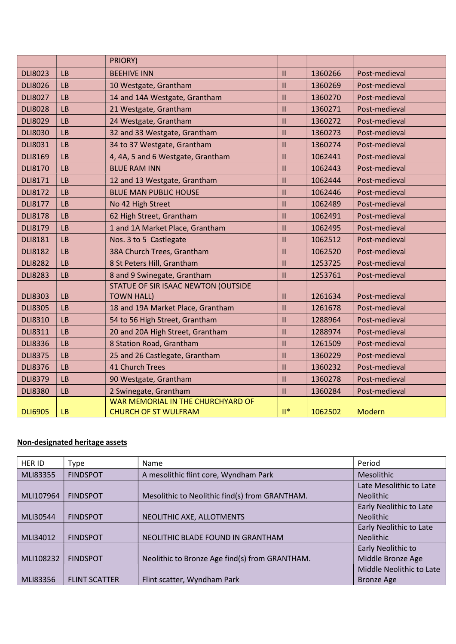|                |           | PRIORY)                                                     |                         |         |               |
|----------------|-----------|-------------------------------------------------------------|-------------------------|---------|---------------|
| <b>DLI8023</b> | <b>LB</b> | <b>BEEHIVE INN</b>                                          | $\mathbf{II}$           | 1360266 | Post-medieval |
| <b>DLI8026</b> | <b>LB</b> | 10 Westgate, Grantham                                       | $\mathbf{II}$           | 1360269 | Post-medieval |
| <b>DLI8027</b> | LB        | 14 and 14A Westgate, Grantham                               | $\mathbf{II}$           | 1360270 | Post-medieval |
| <b>DLI8028</b> | <b>LB</b> | 21 Westgate, Grantham                                       | $\mathbf{II}$           | 1360271 | Post-medieval |
| <b>DLI8029</b> | <b>LB</b> | 24 Westgate, Grantham                                       | $\mathbf{II}$           | 1360272 | Post-medieval |
| <b>DLI8030</b> | <b>LB</b> | 32 and 33 Westgate, Grantham                                | $\mathbf{II}$           | 1360273 | Post-medieval |
| <b>DLI8031</b> | LB        | 34 to 37 Westgate, Grantham                                 | $\mathbf{II}$           | 1360274 | Post-medieval |
| <b>DLI8169</b> | LB        | 4, 4A, 5 and 6 Westgate, Grantham                           | $\mathbf{II}$           | 1062441 | Post-medieval |
| <b>DLI8170</b> | <b>LB</b> | <b>BLUE RAM INN</b>                                         | $\mathbf{II}$           | 1062443 | Post-medieval |
| <b>DLI8171</b> | LB        | 12 and 13 Westgate, Grantham                                | $\mathbf{II}$           | 1062444 | Post-medieval |
| <b>DLI8172</b> | <b>LB</b> | <b>BLUE MAN PUBLIC HOUSE</b>                                | $\mathbf{II}$           | 1062446 | Post-medieval |
| <b>DLI8177</b> | <b>LB</b> | No 42 High Street                                           | $\mathbf{II}$           | 1062489 | Post-medieval |
| <b>DLI8178</b> | <b>LB</b> | 62 High Street, Grantham                                    | $\mathbf{II}$           | 1062491 | Post-medieval |
| <b>DLI8179</b> | LB        | 1 and 1A Market Place, Grantham<br>1062495<br>$\mathbf{II}$ |                         |         | Post-medieval |
| <b>DLI8181</b> | <b>LB</b> | $\mathbf{II}$<br>Nos. 3 to 5 Castlegate                     |                         | 1062512 | Post-medieval |
| <b>DLI8182</b> | LB        | 38A Church Trees, Grantham                                  | $\mathbf{I}$            | 1062520 | Post-medieval |
| <b>DLI8282</b> | <b>LB</b> | 8 St Peters Hill, Grantham                                  | $\overline{\mathbf{H}}$ | 1253725 | Post-medieval |
| <b>DLI8283</b> | <b>LB</b> | 8 and 9 Swinegate, Grantham                                 | $\mathbf{II}$           | 1253761 | Post-medieval |
|                |           | STATUE OF SIR ISAAC NEWTON (OUTSIDE                         |                         |         |               |
| <b>DLI8303</b> | <b>LB</b> | <b>TOWN HALL)</b>                                           | $\mathbf{II}$           | 1261634 | Post-medieval |
| <b>DLI8305</b> | <b>LB</b> | 18 and 19A Market Place, Grantham                           | $\mathbf{I}$            | 1261678 | Post-medieval |
| <b>DLI8310</b> | LB        | 54 to 56 High Street, Grantham                              | $\mathbf{I}$            | 1288964 | Post-medieval |
| <b>DLI8311</b> | <b>LB</b> | 20 and 20A High Street, Grantham                            | $\mathbf{II}$           | 1288974 | Post-medieval |
| <b>DLI8336</b> | <b>LB</b> | 8 Station Road, Grantham                                    | $\mathbf{II}$           | 1261509 | Post-medieval |
| <b>DLI8375</b> | <b>LB</b> | 25 and 26 Castlegate, Grantham                              | $\mathbf{II}$           | 1360229 | Post-medieval |
| <b>DLI8376</b> | <b>LB</b> | <b>41 Church Trees</b>                                      | $\mathbf{II}$           | 1360232 | Post-medieval |
| <b>DLI8379</b> | <b>LB</b> | 90 Westgate, Grantham                                       | $\mathbf{II}$           | 1360278 | Post-medieval |
| <b>DLI8380</b> | <b>LB</b> | 2 Swinegate, Grantham                                       | $\mathbf{II}$           | 1360284 | Post-medieval |
|                |           | WAR MEMORIAL IN THE CHURCHYARD OF                           |                         |         |               |
| <b>DLI6905</b> | <b>LB</b> | <b>CHURCH OF ST WULFRAM</b>                                 | $\mathbb{H}^*$          | 1062502 | Modern        |

## Non-designated heritage assets

| HER ID    | <b>Type</b>          | Name                                           | Period                   |
|-----------|----------------------|------------------------------------------------|--------------------------|
| MLI83355  | <b>FINDSPOT</b>      | A mesolithic flint core, Wyndham Park          | <b>Mesolithic</b>        |
|           |                      |                                                | Late Mesolithic to Late  |
| MLI107964 | <b>FINDSPOT</b>      | Mesolithic to Neolithic find(s) from GRANTHAM. | <b>Neolithic</b>         |
|           |                      |                                                | Early Neolithic to Late  |
| MLI30544  | <b>FINDSPOT</b>      | NEOLITHIC AXE, ALLOTMENTS                      | <b>Neolithic</b>         |
|           |                      |                                                | Early Neolithic to Late  |
| MLI34012  | <b>FINDSPOT</b>      | NEOLITHIC BLADE FOUND IN GRANTHAM              | <b>Neolithic</b>         |
|           |                      |                                                | Early Neolithic to       |
| MLI108232 | <b>FINDSPOT</b>      | Neolithic to Bronze Age find(s) from GRANTHAM. | Middle Bronze Age        |
|           |                      |                                                | Middle Neolithic to Late |
| MLI83356  | <b>FLINT SCATTER</b> | Flint scatter, Wyndham Park                    | <b>Bronze Age</b>        |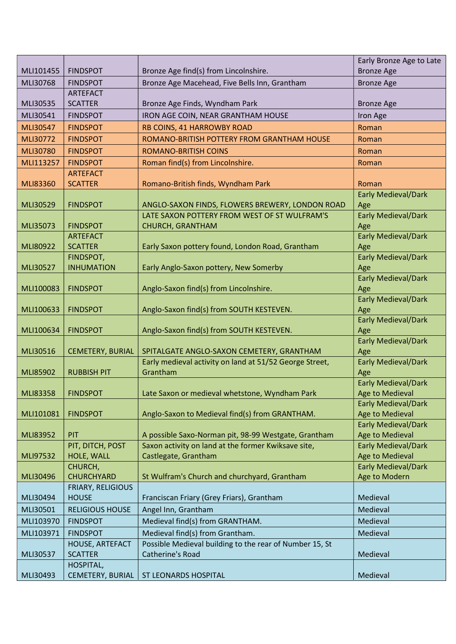|           |                          |                                                         | Early Bronze Age to Late   |
|-----------|--------------------------|---------------------------------------------------------|----------------------------|
| MLI101455 | <b>FINDSPOT</b>          | Bronze Age find(s) from Lincolnshire.                   | <b>Bronze Age</b>          |
| MLI30768  | <b>FINDSPOT</b>          | Bronze Age Macehead, Five Bells Inn, Grantham           | <b>Bronze Age</b>          |
|           | <b>ARTEFACT</b>          |                                                         |                            |
| MLI30535  | <b>SCATTER</b>           | Bronze Age Finds, Wyndham Park                          | <b>Bronze Age</b>          |
| MLI30541  | <b>FINDSPOT</b>          | IRON AGE COIN, NEAR GRANTHAM HOUSE                      | Iron Age                   |
| MLI30547  | <b>FINDSPOT</b>          | RB COINS, 41 HARROWBY ROAD                              | Roman                      |
| MLI30772  | <b>FINDSPOT</b>          | ROMANO-BRITISH POTTERY FROM GRANTHAM HOUSE              | Roman                      |
| MLI30780  | <b>FINDSPOT</b>          | <b>ROMANO-BRITISH COINS</b>                             | Roman                      |
| MLI113257 | <b>FINDSPOT</b>          | Roman find(s) from Lincolnshire.                        | Roman                      |
|           | <b>ARTEFACT</b>          |                                                         |                            |
| MLI83360  | <b>SCATTER</b>           | Romano-British finds, Wyndham Park                      | Roman                      |
|           |                          |                                                         | <b>Early Medieval/Dark</b> |
| MLI30529  | <b>FINDSPOT</b>          | ANGLO-SAXON FINDS, FLOWERS BREWERY, LONDON ROAD         | Age                        |
|           |                          | LATE SAXON POTTERY FROM WEST OF ST WULFRAM'S            | <b>Early Medieval/Dark</b> |
| MLI35073  | <b>FINDSPOT</b>          | <b>CHURCH, GRANTHAM</b>                                 | Age                        |
|           | <b>ARTEFACT</b>          |                                                         | <b>Early Medieval/Dark</b> |
| MLI80922  | <b>SCATTER</b>           | Early Saxon pottery found, London Road, Grantham        | Age                        |
|           | FINDSPOT,                |                                                         | <b>Early Medieval/Dark</b> |
| MLI30527  | <b>INHUMATION</b>        | Early Anglo-Saxon pottery, New Somerby                  | Age                        |
|           |                          |                                                         | <b>Early Medieval/Dark</b> |
| MLI100083 | <b>FINDSPOT</b>          | Anglo-Saxon find(s) from Lincolnshire.                  | Age                        |
|           |                          |                                                         | <b>Early Medieval/Dark</b> |
| MLI100633 | <b>FINDSPOT</b>          | Anglo-Saxon find(s) from SOUTH KESTEVEN.                | Age                        |
|           |                          |                                                         | <b>Early Medieval/Dark</b> |
| MLI100634 | <b>FINDSPOT</b>          | Anglo-Saxon find(s) from SOUTH KESTEVEN.                | Age                        |
|           |                          |                                                         | <b>Early Medieval/Dark</b> |
| MLI30516  | CEMETERY, BURIAL         | SPITALGATE ANGLO-SAXON CEMETERY, GRANTHAM               | Age                        |
|           |                          | Early medieval activity on land at 51/52 George Street, | <b>Early Medieval/Dark</b> |
| MLI85902  | <b>RUBBISH PIT</b>       | Grantham                                                | Age                        |
|           |                          |                                                         | <b>Early Medieval/Dark</b> |
| MLI83358  | <b>FINDSPOT</b>          | Late Saxon or medieval whetstone, Wyndham Park          | Age to Medieval            |
|           |                          |                                                         | <b>Early Medieval/Dark</b> |
| MLI101081 | <b>FINDSPOT</b>          | Anglo-Saxon to Medieval find(s) from GRANTHAM.          | Age to Medieval            |
|           |                          |                                                         | <b>Early Medieval/Dark</b> |
| MLI83952  | PIT                      | A possible Saxo-Norman pit, 98-99 Westgate, Grantham    | Age to Medieval            |
|           | PIT, DITCH, POST         | Saxon activity on land at the former Kwiksave site,     | <b>Early Medieval/Dark</b> |
| MLI97532  | HOLE, WALL               | Castlegate, Grantham                                    | Age to Medieval            |
|           | CHURCH,                  |                                                         | <b>Early Medieval/Dark</b> |
| MLI30496  | <b>CHURCHYARD</b>        | St Wulfram's Church and churchyard, Grantham            | Age to Modern              |
|           | <b>FRIARY, RELIGIOUS</b> |                                                         |                            |
| MLI30494  | <b>HOUSE</b>             | Franciscan Friary (Grey Friars), Grantham               | Medieval                   |
| MLI30501  | <b>RELIGIOUS HOUSE</b>   | Angel Inn, Grantham                                     | Medieval                   |
| MLI103970 | <b>FINDSPOT</b>          | Medieval find(s) from GRANTHAM.                         | Medieval                   |
| MLI103971 | <b>FINDSPOT</b>          | Medieval find(s) from Grantham.                         | Medieval                   |
|           | HOUSE, ARTEFACT          | Possible Medieval building to the rear of Number 15, St |                            |
| MLI30537  | <b>SCATTER</b>           | Catherine's Road                                        | Medieval                   |
|           | HOSPITAL,                |                                                         |                            |
| MLI30493  | CEMETERY, BURIAL         | <b>ST LEONARDS HOSPITAL</b>                             | Medieval                   |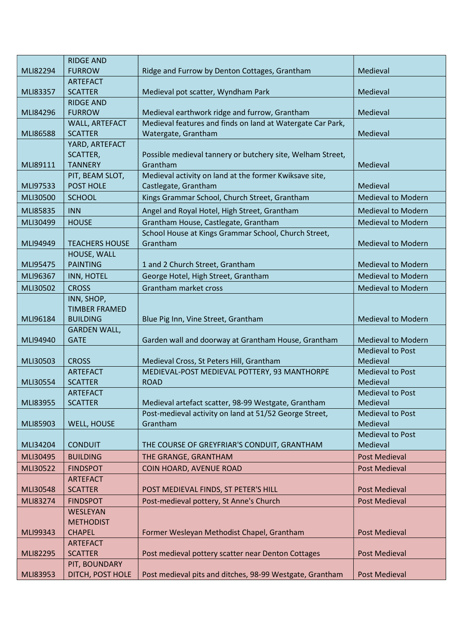|          | <b>RIDGE AND</b>                 |                                                                                   |                                     |
|----------|----------------------------------|-----------------------------------------------------------------------------------|-------------------------------------|
| MLI82294 | <b>FURROW</b>                    | Ridge and Furrow by Denton Cottages, Grantham                                     | Medieval                            |
|          | <b>ARTEFACT</b>                  |                                                                                   |                                     |
| MLI83357 | <b>SCATTER</b>                   | Medieval pot scatter, Wyndham Park                                                | Medieval                            |
|          | <b>RIDGE AND</b>                 |                                                                                   |                                     |
| MLI84296 | <b>FURROW</b>                    | Medieval earthwork ridge and furrow, Grantham                                     | Medieval                            |
| MLI86588 | WALL, ARTEFACT<br><b>SCATTER</b> | Medieval features and finds on land at Watergate Car Park,<br>Watergate, Grantham | Medieval                            |
|          | YARD, ARTEFACT                   |                                                                                   |                                     |
|          | SCATTER,                         | Possible medieval tannery or butchery site, Welham Street,                        |                                     |
| MLI89111 | <b>TANNERY</b>                   | Grantham                                                                          | Medieval                            |
|          | PIT, BEAM SLOT,                  | Medieval activity on land at the former Kwiksave site,                            |                                     |
| MLI97533 | POST HOLE                        | Castlegate, Grantham                                                              | Medieval                            |
| MLI30500 | <b>SCHOOL</b>                    | Kings Grammar School, Church Street, Grantham                                     | <b>Medieval to Modern</b>           |
| MLI85835 | <b>INN</b>                       | Angel and Royal Hotel, High Street, Grantham                                      | <b>Medieval to Modern</b>           |
| MLI30499 | <b>HOUSE</b>                     | Grantham House, Castlegate, Grantham                                              | <b>Medieval to Modern</b>           |
|          |                                  | School House at Kings Grammar School, Church Street,                              |                                     |
| MLI94949 | <b>TEACHERS HOUSE</b>            | Grantham                                                                          | <b>Medieval to Modern</b>           |
|          | HOUSE, WALL                      |                                                                                   |                                     |
| MLI95475 | <b>PAINTING</b>                  | 1 and 2 Church Street, Grantham                                                   | <b>Medieval to Modern</b>           |
| MLI96367 | INN, HOTEL                       | George Hotel, High Street, Grantham                                               | <b>Medieval to Modern</b>           |
| MLI30502 | <b>CROSS</b>                     | Grantham market cross                                                             | <b>Medieval to Modern</b>           |
|          | INN, SHOP,                       |                                                                                   |                                     |
|          | <b>TIMBER FRAMED</b>             |                                                                                   |                                     |
| MLI96184 | <b>BUILDING</b>                  | Blue Pig Inn, Vine Street, Grantham                                               | <b>Medieval to Modern</b>           |
|          | <b>GARDEN WALL,</b>              |                                                                                   |                                     |
| MLI94940 | <b>GATE</b>                      | Garden wall and doorway at Grantham House, Grantham                               | <b>Medieval to Modern</b>           |
| MLI30503 | <b>CROSS</b>                     | Medieval Cross, St Peters Hill, Grantham                                          | <b>Medieval to Post</b><br>Medieval |
|          | <b>ARTEFACT</b>                  | MEDIEVAL-POST MEDIEVAL POTTERY, 93 MANTHORPE                                      | <b>Medieval to Post</b>             |
| MLI30554 | <b>SCATTER</b>                   | <b>ROAD</b>                                                                       | Medieval                            |
|          | <b>ARTEFACT</b>                  |                                                                                   | <b>Medieval to Post</b>             |
| MLI83955 | <b>SCATTER</b>                   | Medieval artefact scatter, 98-99 Westgate, Grantham                               | Medieval                            |
|          |                                  | Post-medieval activity on land at 51/52 George Street,                            | <b>Medieval to Post</b>             |
| MLI85903 | <b>WELL, HOUSE</b>               | Grantham                                                                          | Medieval                            |
|          |                                  |                                                                                   | <b>Medieval to Post</b>             |
| MLI34204 | <b>CONDUIT</b>                   | THE COURSE OF GREYFRIAR'S CONDUIT, GRANTHAM                                       | Medieval                            |
| MLI30495 | <b>BUILDING</b>                  | THE GRANGE, GRANTHAM                                                              | <b>Post Medieval</b>                |
| MLI30522 | <b>FINDSPOT</b>                  | COIN HOARD, AVENUE ROAD                                                           | <b>Post Medieval</b>                |
|          | <b>ARTEFACT</b>                  |                                                                                   |                                     |
| MLI30548 | <b>SCATTER</b>                   | POST MEDIEVAL FINDS, ST PETER'S HILL                                              | <b>Post Medieval</b>                |
| MLI83274 | <b>FINDSPOT</b>                  | Post-medieval pottery, St Anne's Church                                           | <b>Post Medieval</b>                |
|          | <b>WESLEYAN</b>                  |                                                                                   |                                     |
|          | <b>METHODIST</b>                 |                                                                                   |                                     |
| MLI99343 | <b>CHAPEL</b><br><b>ARTEFACT</b> | Former Wesleyan Methodist Chapel, Grantham                                        | <b>Post Medieval</b>                |
| MLI82295 | <b>SCATTER</b>                   | Post medieval pottery scatter near Denton Cottages                                | <b>Post Medieval</b>                |
|          | PIT, BOUNDARY                    |                                                                                   |                                     |
| MLI83953 | DITCH, POST HOLE                 | Post medieval pits and ditches, 98-99 Westgate, Grantham                          | <b>Post Medieval</b>                |
|          |                                  |                                                                                   |                                     |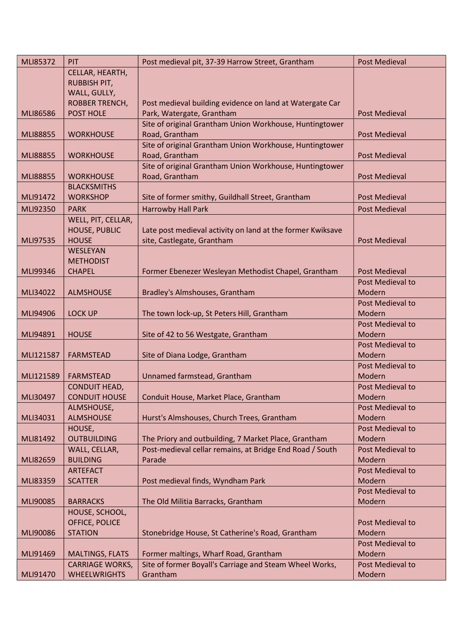| MLI85372        | PIT                    | Post medieval pit, 37-39 Harrow Street, Grantham           | <b>Post Medieval</b> |
|-----------------|------------------------|------------------------------------------------------------|----------------------|
|                 | CELLAR, HEARTH,        |                                                            |                      |
|                 | <b>RUBBISH PIT,</b>    |                                                            |                      |
|                 | WALL, GULLY,           |                                                            |                      |
|                 | <b>ROBBER TRENCH,</b>  | Post medieval building evidence on land at Watergate Car   |                      |
| MLI86586        | POST HOLE              | Park, Watergate, Grantham                                  | <b>Post Medieval</b> |
|                 |                        | Site of original Grantham Union Workhouse, Huntingtower    |                      |
| <b>MLI88855</b> | <b>WORKHOUSE</b>       | Road, Grantham                                             | <b>Post Medieval</b> |
|                 |                        | Site of original Grantham Union Workhouse, Huntingtower    |                      |
| <b>MLI88855</b> | <b>WORKHOUSE</b>       | Road, Grantham                                             | <b>Post Medieval</b> |
|                 |                        | Site of original Grantham Union Workhouse, Huntingtower    |                      |
| <b>MLI88855</b> | <b>WORKHOUSE</b>       | Road, Grantham                                             | <b>Post Medieval</b> |
|                 | <b>BLACKSMITHS</b>     |                                                            |                      |
| MLI91472        | <b>WORKSHOP</b>        | Site of former smithy, Guildhall Street, Grantham          | <b>Post Medieval</b> |
| MLI92350        | <b>PARK</b>            | Harrowby Hall Park                                         | <b>Post Medieval</b> |
|                 | WELL, PIT, CELLAR,     |                                                            |                      |
|                 | <b>HOUSE, PUBLIC</b>   | Late post medieval activity on land at the former Kwiksave |                      |
| MLI97535        | <b>HOUSE</b>           | site, Castlegate, Grantham                                 | <b>Post Medieval</b> |
|                 | WESLEYAN               |                                                            |                      |
|                 | <b>METHODIST</b>       |                                                            |                      |
| MLI99346        | <b>CHAPEL</b>          | Former Ebenezer Wesleyan Methodist Chapel, Grantham        | <b>Post Medieval</b> |
|                 |                        |                                                            | Post Medieval to     |
| MLI34022        | <b>ALMSHOUSE</b>       | Bradley's Almshouses, Grantham                             | Modern               |
|                 |                        |                                                            | Post Medieval to     |
| MLI94906        | <b>LOCK UP</b>         | The town lock-up, St Peters Hill, Grantham                 | Modern               |
|                 |                        |                                                            | Post Medieval to     |
| MLI94891        | <b>HOUSE</b>           | Site of 42 to 56 Westgate, Grantham                        | Modern               |
|                 |                        |                                                            | Post Medieval to     |
| MLI121587       | <b>FARMSTEAD</b>       | Site of Diana Lodge, Grantham                              | Modern               |
|                 |                        |                                                            | Post Medieval to     |
| MLI121589       | <b>FARMSTEAD</b>       | Unnamed farmstead, Grantham                                | Modern               |
|                 | <b>CONDUIT HEAD,</b>   |                                                            | Post Medieval to     |
| MLI30497        | <b>CONDUIT HOUSE</b>   | Conduit House, Market Place, Grantham                      | Modern               |
|                 | ALMSHOUSE,             |                                                            | Post Medieval to     |
| MLI34031        | <b>ALMSHOUSE</b>       | Hurst's Almshouses, Church Trees, Grantham                 | Modern               |
|                 | HOUSE,                 |                                                            | Post Medieval to     |
| MLI81492        | <b>OUTBUILDING</b>     | The Priory and outbuilding, 7 Market Place, Grantham       | Modern               |
|                 | WALL, CELLAR,          | Post-medieval cellar remains, at Bridge End Road / South   | Post Medieval to     |
| MLI82659        | <b>BUILDING</b>        | Parade                                                     | Modern               |
|                 | <b>ARTEFACT</b>        |                                                            | Post Medieval to     |
| MLI83359        | <b>SCATTER</b>         | Post medieval finds, Wyndham Park                          | Modern               |
|                 |                        |                                                            | Post Medieval to     |
| MLI90085        | <b>BARRACKS</b>        | The Old Militia Barracks, Grantham                         | Modern               |
|                 | HOUSE, SCHOOL,         |                                                            |                      |
|                 | OFFICE, POLICE         |                                                            | Post Medieval to     |
| MLI90086        | <b>STATION</b>         | Stonebridge House, St Catherine's Road, Grantham           | Modern               |
|                 |                        |                                                            | Post Medieval to     |
| MLI91469        | <b>MALTINGS, FLATS</b> | Former maltings, Wharf Road, Grantham                      | Modern               |
|                 | <b>CARRIAGE WORKS,</b> | Site of former Boyall's Carriage and Steam Wheel Works,    | Post Medieval to     |
| MLI91470        | <b>WHEELWRIGHTS</b>    | Grantham                                                   | Modern               |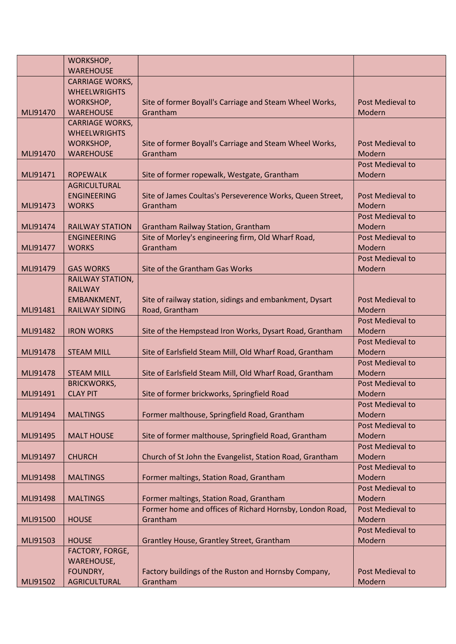|          | WORKSHOP,              |                                                           |                         |
|----------|------------------------|-----------------------------------------------------------|-------------------------|
|          | <b>WAREHOUSE</b>       |                                                           |                         |
|          | <b>CARRIAGE WORKS,</b> |                                                           |                         |
|          | <b>WHEELWRIGHTS</b>    |                                                           |                         |
|          | WORKSHOP,              | Site of former Boyall's Carriage and Steam Wheel Works,   | Post Medieval to        |
| MLI91470 | <b>WAREHOUSE</b>       | Grantham                                                  | Modern                  |
|          | <b>CARRIAGE WORKS,</b> |                                                           |                         |
|          | <b>WHEELWRIGHTS</b>    |                                                           |                         |
|          | WORKSHOP,              | Site of former Boyall's Carriage and Steam Wheel Works,   | Post Medieval to        |
| MLI91470 | <b>WAREHOUSE</b>       | Grantham                                                  | Modern                  |
|          |                        |                                                           | <b>Post Medieval to</b> |
| MLI91471 | <b>ROPEWALK</b>        | Site of former ropewalk, Westgate, Grantham               | Modern                  |
|          | <b>AGRICULTURAL</b>    |                                                           |                         |
|          | <b>ENGINEERING</b>     | Site of James Coultas's Perseverence Works, Queen Street, | Post Medieval to        |
| MLI91473 | <b>WORKS</b>           | Grantham                                                  | Modern                  |
|          |                        |                                                           | Post Medieval to        |
| MLI91474 | <b>RAILWAY STATION</b> | Grantham Railway Station, Grantham                        | Modern                  |
|          | <b>ENGINEERING</b>     | Site of Morley's engineering firm, Old Wharf Road,        | Post Medieval to        |
| MLI91477 | <b>WORKS</b>           | Grantham                                                  | Modern                  |
|          |                        |                                                           | Post Medieval to        |
| MLI91479 | <b>GAS WORKS</b>       | Site of the Grantham Gas Works                            | Modern                  |
|          | RAILWAY STATION,       |                                                           |                         |
|          | <b>RAILWAY</b>         |                                                           |                         |
|          | EMBANKMENT,            | Site of railway station, sidings and embankment, Dysart   | Post Medieval to        |
| MLI91481 | <b>RAILWAY SIDING</b>  | Road, Grantham                                            | Modern                  |
|          |                        |                                                           | Post Medieval to        |
| MLI91482 | <b>IRON WORKS</b>      | Site of the Hempstead Iron Works, Dysart Road, Grantham   | Modern                  |
|          |                        |                                                           | Post Medieval to        |
| MLI91478 | <b>STEAM MILL</b>      | Site of Earlsfield Steam Mill, Old Wharf Road, Grantham   | Modern                  |
|          |                        |                                                           | Post Medieval to        |
| MLI91478 | <b>STEAM MILL</b>      | Site of Earlsfield Steam Mill, Old Wharf Road, Grantham   | Modern                  |
|          | <b>BRICKWORKS,</b>     |                                                           | Post Medieval to        |
| MLI91491 | <b>CLAY PIT</b>        | Site of former brickworks, Springfield Road               | Modern                  |
|          |                        |                                                           | Post Medieval to        |
| MLI91494 | <b>MALTINGS</b>        | Former malthouse, Springfield Road, Grantham              | Modern                  |
|          |                        |                                                           | Post Medieval to        |
| MLI91495 | <b>MALT HOUSE</b>      | Site of former malthouse, Springfield Road, Grantham      | Modern                  |
|          |                        |                                                           | Post Medieval to        |
| MLI91497 | <b>CHURCH</b>          | Church of St John the Evangelist, Station Road, Grantham  | Modern                  |
|          |                        |                                                           | Post Medieval to        |
| MLI91498 | <b>MALTINGS</b>        | Former maltings, Station Road, Grantham                   | Modern                  |
|          |                        |                                                           | Post Medieval to        |
| MLI91498 | <b>MALTINGS</b>        | Former maltings, Station Road, Grantham                   | Modern                  |
|          |                        | Former home and offices of Richard Hornsby, London Road,  | Post Medieval to        |
| MLI91500 | <b>HOUSE</b>           | Grantham                                                  | Modern                  |
|          |                        |                                                           | Post Medieval to        |
| MLI91503 | <b>HOUSE</b>           | Grantley House, Grantley Street, Grantham                 | Modern                  |
|          | FACTORY, FORGE,        |                                                           |                         |
|          | <b>WAREHOUSE,</b>      |                                                           |                         |
|          | FOUNDRY,               | Factory buildings of the Ruston and Hornsby Company,      | Post Medieval to        |
| MLI91502 | <b>AGRICULTURAL</b>    | Grantham                                                  | Modern                  |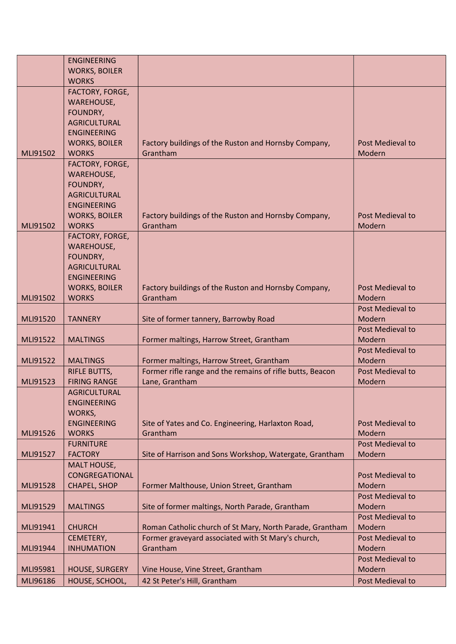|          | <b>ENGINEERING</b>    |                                                           |                  |
|----------|-----------------------|-----------------------------------------------------------|------------------|
|          | <b>WORKS, BOILER</b>  |                                                           |                  |
|          | <b>WORKS</b>          |                                                           |                  |
|          | FACTORY, FORGE,       |                                                           |                  |
|          | <b>WAREHOUSE,</b>     |                                                           |                  |
|          | FOUNDRY,              |                                                           |                  |
|          | <b>AGRICULTURAL</b>   |                                                           |                  |
|          |                       |                                                           |                  |
|          | <b>ENGINEERING</b>    |                                                           |                  |
|          | <b>WORKS, BOILER</b>  | Factory buildings of the Ruston and Hornsby Company,      | Post Medieval to |
| MLI91502 | <b>WORKS</b>          | Grantham                                                  | Modern           |
|          | FACTORY, FORGE,       |                                                           |                  |
|          | <b>WAREHOUSE,</b>     |                                                           |                  |
|          | FOUNDRY,              |                                                           |                  |
|          | <b>AGRICULTURAL</b>   |                                                           |                  |
|          | <b>ENGINEERING</b>    |                                                           |                  |
|          | <b>WORKS, BOILER</b>  | Factory buildings of the Ruston and Hornsby Company,      | Post Medieval to |
| MLI91502 | <b>WORKS</b>          | Grantham                                                  | Modern           |
|          | FACTORY, FORGE,       |                                                           |                  |
|          | <b>WAREHOUSE,</b>     |                                                           |                  |
|          |                       |                                                           |                  |
|          | FOUNDRY,              |                                                           |                  |
|          | <b>AGRICULTURAL</b>   |                                                           |                  |
|          | <b>ENGINEERING</b>    |                                                           |                  |
|          | <b>WORKS, BOILER</b>  | Factory buildings of the Ruston and Hornsby Company,      | Post Medieval to |
| MLI91502 | <b>WORKS</b>          | Grantham                                                  | Modern           |
|          |                       |                                                           | Post Medieval to |
| MLI91520 | <b>TANNERY</b>        | Site of former tannery, Barrowby Road                     | Modern           |
|          |                       |                                                           | Post Medieval to |
| MLI91522 | <b>MALTINGS</b>       | Former maltings, Harrow Street, Grantham                  | Modern           |
|          |                       |                                                           | Post Medieval to |
| MLI91522 | <b>MALTINGS</b>       | Former maltings, Harrow Street, Grantham                  | Modern           |
|          | <b>RIFLE BUTTS,</b>   | Former rifle range and the remains of rifle butts, Beacon | Post Medieval to |
| MLI91523 | <b>FIRING RANGE</b>   |                                                           | Modern           |
|          |                       | Lane, Grantham                                            |                  |
|          | <b>AGRICULTURAL</b>   |                                                           |                  |
|          | <b>ENGINEERING</b>    |                                                           |                  |
|          | WORKS,                |                                                           |                  |
|          | <b>ENGINEERING</b>    | Site of Yates and Co. Engineering, Harlaxton Road,        | Post Medieval to |
| MLI91526 | <b>WORKS</b>          | Grantham                                                  | Modern           |
|          | <b>FURNITURE</b>      |                                                           | Post Medieval to |
| MLI91527 | <b>FACTORY</b>        | Site of Harrison and Sons Workshop, Watergate, Grantham   | Modern           |
|          | MALT HOUSE,           |                                                           |                  |
|          | CONGREGATIONAL        |                                                           | Post Medieval to |
| MLI91528 | CHAPEL, SHOP          | Former Malthouse, Union Street, Grantham                  | Modern           |
|          |                       |                                                           | Post Medieval to |
|          |                       |                                                           |                  |
| MLI91529 | <b>MALTINGS</b>       | Site of former maltings, North Parade, Grantham           | Modern           |
|          |                       |                                                           | Post Medieval to |
| MLI91941 | <b>CHURCH</b>         | Roman Catholic church of St Mary, North Parade, Grantham  | Modern           |
|          | CEMETERY,             | Former graveyard associated with St Mary's church,        | Post Medieval to |
| MLI91944 | <b>INHUMATION</b>     | Grantham                                                  | Modern           |
|          |                       |                                                           | Post Medieval to |
| MLI95981 | <b>HOUSE, SURGERY</b> | Vine House, Vine Street, Grantham                         | Modern           |
| MLI96186 | HOUSE, SCHOOL,        | 42 St Peter's Hill, Grantham                              | Post Medieval to |
|          |                       |                                                           |                  |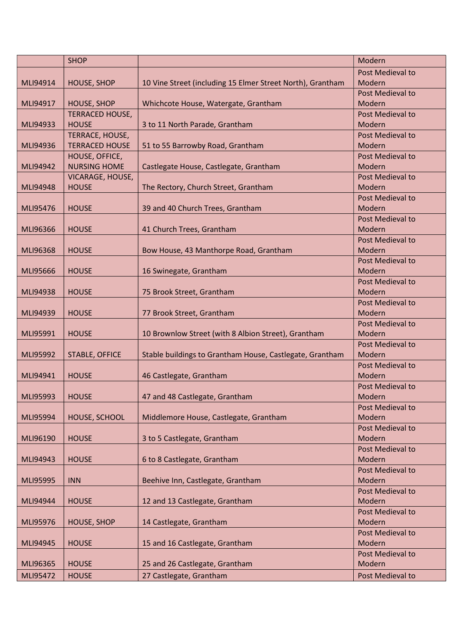|          | <b>SHOP</b>            |                                                            | Modern                  |
|----------|------------------------|------------------------------------------------------------|-------------------------|
|          |                        |                                                            | Post Medieval to        |
| MLI94914 | <b>HOUSE, SHOP</b>     | 10 Vine Street (including 15 Elmer Street North), Grantham | Modern                  |
|          |                        |                                                            | Post Medieval to        |
| MLI94917 | <b>HOUSE, SHOP</b>     | Whichcote House, Watergate, Grantham                       | Modern                  |
|          | <b>TERRACED HOUSE,</b> |                                                            | Post Medieval to        |
| MLI94933 | <b>HOUSE</b>           | 3 to 11 North Parade, Grantham                             | Modern                  |
|          | TERRACE, HOUSE,        |                                                            | <b>Post Medieval to</b> |
| MLI94936 | <b>TERRACED HOUSE</b>  | 51 to 55 Barrowby Road, Grantham                           | Modern                  |
|          | HOUSE, OFFICE,         |                                                            | Post Medieval to        |
| MLI94942 | <b>NURSING HOME</b>    | Castlegate House, Castlegate, Grantham                     | Modern                  |
|          | VICARAGE, HOUSE,       |                                                            | Post Medieval to        |
| MLI94948 | <b>HOUSE</b>           | The Rectory, Church Street, Grantham                       | Modern                  |
|          |                        |                                                            | Post Medieval to        |
| MLI95476 | <b>HOUSE</b>           | 39 and 40 Church Trees, Grantham                           | Modern                  |
|          |                        |                                                            | Post Medieval to        |
| MLI96366 | <b>HOUSE</b>           | 41 Church Trees, Grantham                                  | Modern                  |
|          |                        |                                                            | Post Medieval to        |
| MLI96368 | <b>HOUSE</b>           | Bow House, 43 Manthorpe Road, Grantham                     | Modern                  |
|          |                        |                                                            | Post Medieval to        |
| MLI95666 | <b>HOUSE</b>           | 16 Swinegate, Grantham                                     | Modern                  |
|          |                        |                                                            | Post Medieval to        |
| MLI94938 | <b>HOUSE</b>           | 75 Brook Street, Grantham                                  | Modern                  |
|          |                        |                                                            | Post Medieval to        |
| MLI94939 | <b>HOUSE</b>           | 77 Brook Street, Grantham                                  | Modern                  |
|          |                        |                                                            | Post Medieval to        |
| MLI95991 | <b>HOUSE</b>           | 10 Brownlow Street (with 8 Albion Street), Grantham        | Modern                  |
|          |                        |                                                            | Post Medieval to        |
| MLI95992 | <b>STABLE, OFFICE</b>  | Stable buildings to Grantham House, Castlegate, Grantham   | Modern                  |
|          |                        |                                                            | <b>Post Medieval to</b> |
| MLI94941 | <b>HOUSE</b>           | 46 Castlegate, Grantham                                    | Modern                  |
|          |                        |                                                            | Post Medieval to        |
| MLI95993 | <b>HOUSE</b>           | 47 and 48 Castlegate, Grantham                             | Modern                  |
|          |                        |                                                            | Post Medieval to        |
| MLI95994 | HOUSE, SCHOOL          | Middlemore House, Castlegate, Grantham                     | Modern                  |
|          |                        |                                                            | Post Medieval to        |
| MLI96190 | <b>HOUSE</b>           | 3 to 5 Castlegate, Grantham                                | Modern                  |
|          |                        |                                                            | Post Medieval to        |
| MLI94943 | <b>HOUSE</b>           | 6 to 8 Castlegate, Grantham                                | Modern                  |
|          |                        |                                                            | Post Medieval to        |
| MLI95995 | <b>INN</b>             | Beehive Inn, Castlegate, Grantham                          | Modern                  |
|          |                        |                                                            | Post Medieval to        |
| MLI94944 | <b>HOUSE</b>           | 12 and 13 Castlegate, Grantham                             | Modern                  |
|          |                        |                                                            | Post Medieval to        |
| MLI95976 | <b>HOUSE, SHOP</b>     | 14 Castlegate, Grantham                                    | Modern                  |
|          |                        |                                                            | Post Medieval to        |
| MLI94945 | <b>HOUSE</b>           | 15 and 16 Castlegate, Grantham                             | Modern                  |
|          |                        |                                                            | Post Medieval to        |
| MLI96365 | <b>HOUSE</b>           | 25 and 26 Castlegate, Grantham                             | Modern                  |
| MLI95472 | <b>HOUSE</b>           | 27 Castlegate, Grantham                                    | Post Medieval to        |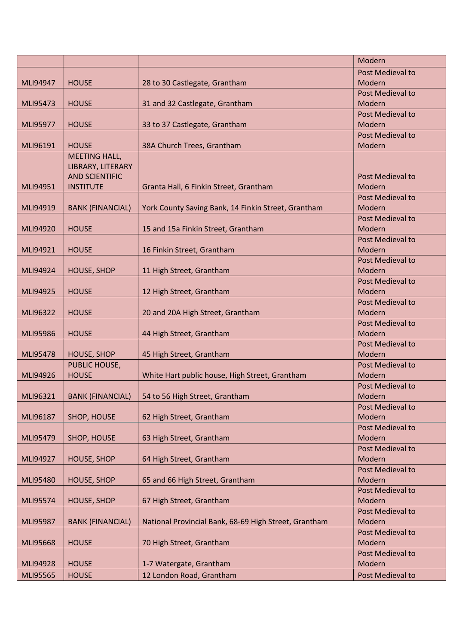|          |                         |                                                       | Modern                  |
|----------|-------------------------|-------------------------------------------------------|-------------------------|
|          |                         |                                                       | Post Medieval to        |
| MLI94947 | <b>HOUSE</b>            | 28 to 30 Castlegate, Grantham                         | <b>Modern</b>           |
|          |                         |                                                       | <b>Post Medieval to</b> |
| MLI95473 | <b>HOUSE</b>            | 31 and 32 Castlegate, Grantham                        | Modern                  |
|          |                         |                                                       | <b>Post Medieval to</b> |
| MLI95977 | <b>HOUSE</b>            | 33 to 37 Castlegate, Grantham                         | Modern                  |
|          |                         |                                                       | <b>Post Medieval to</b> |
| MLI96191 | <b>HOUSE</b>            | 38A Church Trees, Grantham                            | Modern                  |
|          | MEETING HALL,           |                                                       |                         |
|          | LIBRARY, LITERARY       |                                                       |                         |
|          | <b>AND SCIENTIFIC</b>   |                                                       | Post Medieval to        |
| MLI94951 | <b>INSTITUTE</b>        | Granta Hall, 6 Finkin Street, Grantham                | Modern                  |
|          |                         |                                                       | Post Medieval to        |
| MLI94919 | <b>BANK (FINANCIAL)</b> | York County Saving Bank, 14 Finkin Street, Grantham   | Modern                  |
|          |                         |                                                       | Post Medieval to        |
| MLI94920 | <b>HOUSE</b>            | 15 and 15a Finkin Street, Grantham                    | Modern                  |
|          |                         |                                                       | <b>Post Medieval to</b> |
| MLI94921 | <b>HOUSE</b>            | 16 Finkin Street, Grantham                            | Modern                  |
|          |                         |                                                       | Post Medieval to        |
| MLI94924 | <b>HOUSE, SHOP</b>      | 11 High Street, Grantham                              | Modern                  |
|          |                         |                                                       | Post Medieval to        |
| MLI94925 | <b>HOUSE</b>            | 12 High Street, Grantham                              | Modern                  |
|          |                         |                                                       | Post Medieval to        |
| MLI96322 | <b>HOUSE</b>            | 20 and 20A High Street, Grantham                      | Modern                  |
|          |                         |                                                       | <b>Post Medieval to</b> |
| MLI95986 | <b>HOUSE</b>            | 44 High Street, Grantham                              | Modern                  |
|          |                         |                                                       | Post Medieval to        |
| MLI95478 | <b>HOUSE, SHOP</b>      | 45 High Street, Grantham                              | Modern                  |
|          | PUBLIC HOUSE,           |                                                       | Post Medieval to        |
| MLI94926 | <b>HOUSE</b>            | White Hart public house, High Street, Grantham        | Modern                  |
|          |                         |                                                       | <b>Post Medieval to</b> |
| MLI96321 | <b>BANK (FINANCIAL)</b> | 54 to 56 High Street, Grantham                        | Modern                  |
|          |                         |                                                       | Post Medieval to        |
| MLI96187 | SHOP, HOUSE             | 62 High Street, Grantham                              | Modern                  |
|          |                         |                                                       | Post Medieval to        |
| MLI95479 | SHOP, HOUSE             | 63 High Street, Grantham                              | Modern                  |
|          |                         |                                                       | Post Medieval to        |
| MLI94927 | <b>HOUSE, SHOP</b>      | 64 High Street, Grantham                              | Modern                  |
|          |                         |                                                       | Post Medieval to        |
| MLI95480 | <b>HOUSE, SHOP</b>      | 65 and 66 High Street, Grantham                       | Modern                  |
|          |                         |                                                       | Post Medieval to        |
| MLI95574 | <b>HOUSE, SHOP</b>      | 67 High Street, Grantham                              | Modern                  |
|          |                         |                                                       | Post Medieval to        |
| MLI95987 | <b>BANK (FINANCIAL)</b> | National Provincial Bank, 68-69 High Street, Grantham | Modern                  |
|          |                         |                                                       | Post Medieval to        |
| MLI95668 | <b>HOUSE</b>            | 70 High Street, Grantham                              | Modern                  |
|          |                         |                                                       | Post Medieval to        |
| MLI94928 | <b>HOUSE</b>            | 1-7 Watergate, Grantham                               | Modern                  |
| MLI95565 | <b>HOUSE</b>            | 12 London Road, Grantham                              | Post Medieval to        |
|          |                         |                                                       |                         |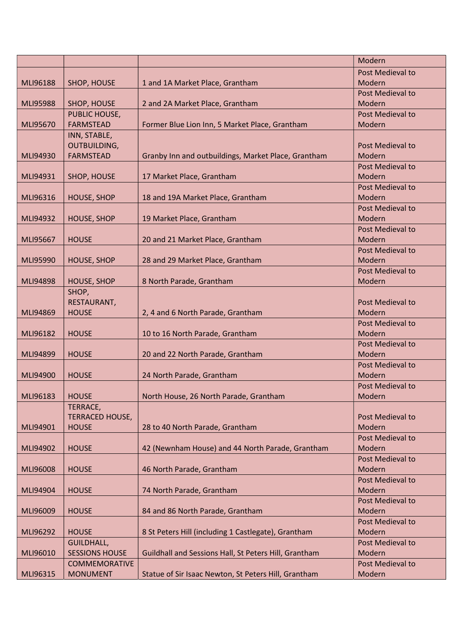|                 |                        |                                                       | Modern                  |
|-----------------|------------------------|-------------------------------------------------------|-------------------------|
|                 |                        |                                                       | Post Medieval to        |
| MLI96188        | SHOP, HOUSE            | 1 and 1A Market Place, Grantham                       | Modern                  |
|                 |                        |                                                       | <b>Post Medieval to</b> |
| <b>MLI95988</b> | SHOP, HOUSE            | 2 and 2A Market Place, Grantham                       | Modern                  |
|                 | PUBLIC HOUSE,          |                                                       | Post Medieval to        |
| MLI95670        | <b>FARMSTEAD</b>       | Former Blue Lion Inn, 5 Market Place, Grantham        | Modern                  |
|                 | INN, STABLE,           |                                                       |                         |
|                 | <b>OUTBUILDING,</b>    |                                                       | <b>Post Medieval to</b> |
| MLI94930        | <b>FARMSTEAD</b>       | Granby Inn and outbuildings, Market Place, Grantham   | Modern                  |
|                 |                        |                                                       | Post Medieval to        |
| MLI94931        | SHOP, HOUSE            | 17 Market Place, Grantham                             | Modern                  |
|                 |                        |                                                       | Post Medieval to        |
| MLI96316        | <b>HOUSE, SHOP</b>     | 18 and 19A Market Place, Grantham                     | Modern                  |
|                 |                        |                                                       | Post Medieval to        |
| MLI94932        | <b>HOUSE, SHOP</b>     | 19 Market Place, Grantham                             | Modern                  |
|                 |                        |                                                       | Post Medieval to        |
| MLI95667        | <b>HOUSE</b>           | 20 and 21 Market Place, Grantham                      | Modern                  |
|                 |                        |                                                       | <b>Post Medieval to</b> |
| MLI95990        | <b>HOUSE, SHOP</b>     | 28 and 29 Market Place, Grantham                      | Modern                  |
|                 |                        |                                                       | Post Medieval to        |
| MLI94898        | <b>HOUSE, SHOP</b>     | 8 North Parade, Grantham                              | Modern                  |
|                 | SHOP,                  |                                                       |                         |
|                 | RESTAURANT,            |                                                       | Post Medieval to        |
| MLI94869        | <b>HOUSE</b>           | 2, 4 and 6 North Parade, Grantham                     | Modern                  |
|                 |                        |                                                       | <b>Post Medieval to</b> |
| MLI96182        | <b>HOUSE</b>           | 10 to 16 North Parade, Grantham                       | Modern                  |
|                 |                        |                                                       | Post Medieval to        |
| MLI94899        | <b>HOUSE</b>           | 20 and 22 North Parade, Grantham                      | Modern                  |
|                 |                        |                                                       | Post Medieval to        |
| MLI94900        | <b>HOUSE</b>           | 24 North Parade, Grantham                             | Modern                  |
|                 |                        |                                                       | Post Medieval to        |
| MLI96183        | <b>HOUSE</b>           | North House, 26 North Parade, Grantham                | Modern                  |
|                 | TERRACE,               |                                                       |                         |
|                 | <b>TERRACED HOUSE,</b> |                                                       | Post Medieval to        |
| MLI94901        | <b>HOUSE</b>           | 28 to 40 North Parade, Grantham                       | Modern                  |
|                 |                        |                                                       | Post Medieval to        |
| MLI94902        | <b>HOUSE</b>           | 42 (Newnham House) and 44 North Parade, Grantham      | Modern                  |
|                 |                        |                                                       | Post Medieval to        |
| MLI96008        | <b>HOUSE</b>           | 46 North Parade, Grantham                             | Modern                  |
|                 |                        |                                                       | Post Medieval to        |
| MLI94904        | <b>HOUSE</b>           | 74 North Parade, Grantham                             | Modern                  |
|                 |                        |                                                       | <b>Post Medieval to</b> |
| MLI96009        | <b>HOUSE</b>           | 84 and 86 North Parade, Grantham                      | Modern                  |
|                 |                        |                                                       | Post Medieval to        |
| MLI96292        | <b>HOUSE</b>           | 8 St Peters Hill (including 1 Castlegate), Grantham   | Modern                  |
|                 | <b>GUILDHALL,</b>      |                                                       | Post Medieval to        |
| MLI96010        | <b>SESSIONS HOUSE</b>  | Guildhall and Sessions Hall, St Peters Hill, Grantham | Modern                  |
|                 | <b>COMMEMORATIVE</b>   |                                                       | Post Medieval to        |
| MLI96315        | <b>MONUMENT</b>        | Statue of Sir Isaac Newton, St Peters Hill, Grantham  | Modern                  |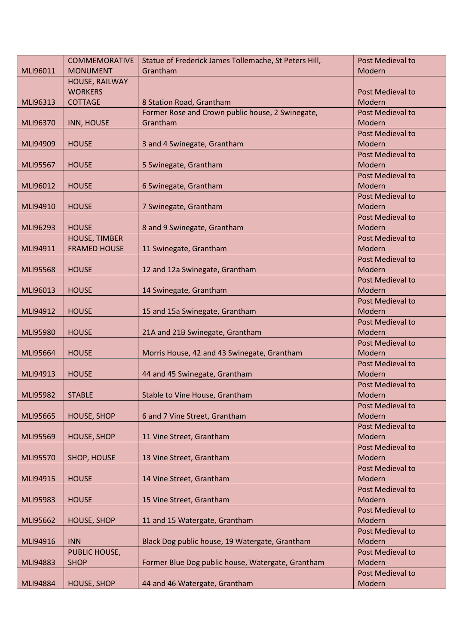|          | <b>COMMEMORATIVE</b> | Statue of Frederick James Tollemache, St Peters Hill, | Post Medieval to        |
|----------|----------------------|-------------------------------------------------------|-------------------------|
| MLI96011 | <b>MONUMENT</b>      | Grantham                                              | Modern                  |
|          | HOUSE, RAILWAY       |                                                       |                         |
|          | <b>WORKERS</b>       |                                                       | Post Medieval to        |
| MLI96313 | <b>COTTAGE</b>       | 8 Station Road, Grantham                              | Modern                  |
|          |                      | Former Rose and Crown public house, 2 Swinegate,      | <b>Post Medieval to</b> |
| MLI96370 | <b>INN, HOUSE</b>    | Grantham                                              | Modern                  |
|          |                      |                                                       | Post Medieval to        |
| MLI94909 | <b>HOUSE</b>         | 3 and 4 Swinegate, Grantham                           | Modern                  |
|          |                      |                                                       | Post Medieval to        |
| MLI95567 | <b>HOUSE</b>         | 5 Swinegate, Grantham                                 | Modern                  |
|          |                      |                                                       | Post Medieval to        |
| MLI96012 | <b>HOUSE</b>         | 6 Swinegate, Grantham                                 | Modern                  |
|          |                      |                                                       | Post Medieval to        |
| MLI94910 | <b>HOUSE</b>         | 7 Swinegate, Grantham                                 | Modern                  |
|          |                      |                                                       | Post Medieval to        |
| MLI96293 | <b>HOUSE</b>         | 8 and 9 Swinegate, Grantham                           | Modern                  |
|          | <b>HOUSE, TIMBER</b> |                                                       | Post Medieval to        |
| MLI94911 | <b>FRAMED HOUSE</b>  | 11 Swinegate, Grantham                                | Modern                  |
|          |                      |                                                       | <b>Post Medieval to</b> |
| MLI95568 | <b>HOUSE</b>         | 12 and 12a Swinegate, Grantham                        | Modern                  |
|          |                      |                                                       | Post Medieval to        |
| MLI96013 | <b>HOUSE</b>         | 14 Swinegate, Grantham                                | Modern                  |
|          |                      |                                                       | Post Medieval to        |
| MLI94912 | <b>HOUSE</b>         | 15 and 15a Swinegate, Grantham                        | Modern                  |
|          |                      |                                                       | Post Medieval to        |
| MLI95980 | <b>HOUSE</b>         | 21A and 21B Swinegate, Grantham                       | Modern                  |
|          |                      |                                                       | Post Medieval to        |
| MLI95664 | <b>HOUSE</b>         | Morris House, 42 and 43 Swinegate, Grantham           | Modern                  |
|          |                      |                                                       | <b>Post Medieval to</b> |
| MLI94913 | <b>HOUSE</b>         | 44 and 45 Swinegate, Grantham                         | Modern                  |
|          |                      |                                                       | Post Medieval to        |
| MLI95982 | <b>STABLE</b>        | Stable to Vine House, Grantham                        | Modern                  |
|          |                      |                                                       | Post Medieval to        |
| MLI95665 | <b>HOUSE, SHOP</b>   | 6 and 7 Vine Street, Grantham                         | Modern                  |
|          |                      |                                                       | Post Medieval to        |
| MLI95569 | <b>HOUSE, SHOP</b>   | 11 Vine Street, Grantham                              | Modern                  |
|          |                      |                                                       | Post Medieval to        |
| MLI95570 | SHOP, HOUSE          | 13 Vine Street, Grantham                              | Modern                  |
|          |                      |                                                       | Post Medieval to        |
| MLI94915 | <b>HOUSE</b>         | 14 Vine Street, Grantham                              | Modern                  |
|          |                      |                                                       | Post Medieval to        |
| MLI95983 | <b>HOUSE</b>         | 15 Vine Street, Grantham                              | Modern                  |
|          |                      |                                                       | <b>Post Medieval to</b> |
| MLI95662 |                      |                                                       | Modern                  |
|          | <b>HOUSE, SHOP</b>   | 11 and 15 Watergate, Grantham                         | <b>Post Medieval to</b> |
|          |                      |                                                       |                         |
| MLI94916 | <b>INN</b>           | Black Dog public house, 19 Watergate, Grantham        | Modern                  |
|          | PUBLIC HOUSE,        |                                                       | Post Medieval to        |
| MLI94883 | <b>SHOP</b>          | Former Blue Dog public house, Watergate, Grantham     | Modern                  |
|          |                      |                                                       | Post Medieval to        |
| MLI94884 | <b>HOUSE, SHOP</b>   | 44 and 46 Watergate, Grantham                         | Modern                  |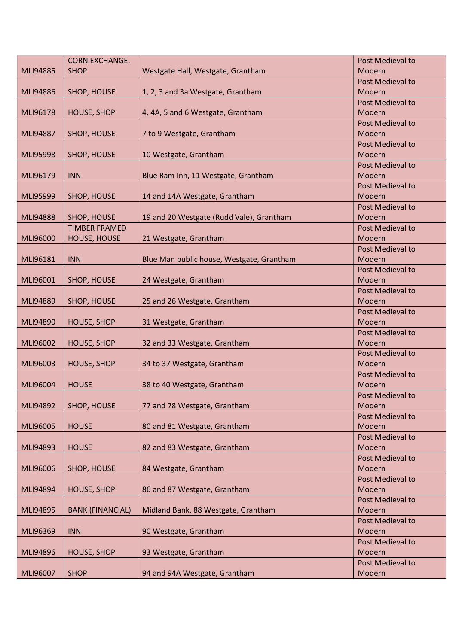|                 | <b>CORN EXCHANGE,</b>   |                                           | Post Medieval to        |
|-----------------|-------------------------|-------------------------------------------|-------------------------|
| MLI94885        | <b>SHOP</b>             | Westgate Hall, Westgate, Grantham         | Modern                  |
|                 |                         |                                           | Post Medieval to        |
| MLI94886        | SHOP, HOUSE             | 1, 2, 3 and 3a Westgate, Grantham         | Modern                  |
|                 |                         |                                           | <b>Post Medieval to</b> |
| MLI96178        | <b>HOUSE, SHOP</b>      | 4, 4A, 5 and 6 Westgate, Grantham         | Modern                  |
|                 |                         |                                           | <b>Post Medieval to</b> |
| MLI94887        | SHOP, HOUSE             | 7 to 9 Westgate, Grantham                 | Modern                  |
|                 |                         |                                           | <b>Post Medieval to</b> |
| <b>MLI95998</b> | SHOP, HOUSE             | 10 Westgate, Grantham                     | Modern                  |
|                 |                         |                                           | Post Medieval to        |
| MLI96179        | <b>INN</b>              | Blue Ram Inn, 11 Westgate, Grantham       | Modern                  |
|                 |                         |                                           | <b>Post Medieval to</b> |
| MLI95999        | SHOP, HOUSE             | 14 and 14A Westgate, Grantham             | Modern                  |
|                 |                         |                                           | Post Medieval to        |
| MLI94888        | SHOP, HOUSE             | 19 and 20 Westgate (Rudd Vale), Grantham  | Modern                  |
|                 | <b>TIMBER FRAMED</b>    |                                           | Post Medieval to        |
| MLI96000        | HOUSE, HOUSE            | 21 Westgate, Grantham                     | Modern                  |
|                 |                         |                                           | Post Medieval to        |
| MLI96181        | <b>INN</b>              | Blue Man public house, Westgate, Grantham | Modern                  |
|                 |                         |                                           | Post Medieval to        |
| MLI96001        | SHOP, HOUSE             | 24 Westgate, Grantham                     | Modern                  |
|                 |                         |                                           | Post Medieval to        |
| MLI94889        | SHOP, HOUSE             | 25 and 26 Westgate, Grantham              | Modern                  |
|                 |                         |                                           | Post Medieval to        |
| MLI94890        | <b>HOUSE, SHOP</b>      | 31 Westgate, Grantham                     | Modern                  |
|                 |                         |                                           | Post Medieval to        |
| MLI96002        | <b>HOUSE, SHOP</b>      | 32 and 33 Westgate, Grantham              | Modern                  |
|                 |                         |                                           | Post Medieval to        |
| MLI96003        | <b>HOUSE, SHOP</b>      | 34 to 37 Westgate, Grantham               | Modern                  |
|                 |                         |                                           | Post Medieval to        |
| MLI96004        | <b>HOUSE</b>            | 38 to 40 Westgate, Grantham               | Modern                  |
|                 |                         |                                           | Post Medieval to        |
| MLI94892        | SHOP, HOUSE             | 77 and 78 Westgate, Grantham              | Modern                  |
|                 |                         |                                           | Post Medieval to        |
| MLI96005        | <b>HOUSE</b>            | 80 and 81 Westgate, Grantham              | Modern                  |
|                 |                         |                                           | <b>Post Medieval to</b> |
| MLI94893        | <b>HOUSE</b>            | 82 and 83 Westgate, Grantham              | Modern                  |
|                 |                         |                                           | Post Medieval to        |
| MLI96006        | SHOP, HOUSE             | 84 Westgate, Grantham                     | Modern                  |
|                 |                         |                                           | Post Medieval to        |
| MLI94894        | <b>HOUSE, SHOP</b>      | 86 and 87 Westgate, Grantham              | Modern                  |
|                 |                         |                                           | Post Medieval to        |
| MLI94895        | <b>BANK (FINANCIAL)</b> | Midland Bank, 88 Westgate, Grantham       | Modern                  |
|                 |                         |                                           | Post Medieval to        |
| MLI96369        | <b>INN</b>              | 90 Westgate, Grantham                     | Modern                  |
|                 |                         |                                           | Post Medieval to        |
| MLI94896        | <b>HOUSE, SHOP</b>      | 93 Westgate, Grantham                     | Modern                  |
|                 |                         |                                           | <b>Post Medieval to</b> |
| MLI96007        | <b>SHOP</b>             | 94 and 94A Westgate, Grantham             | Modern                  |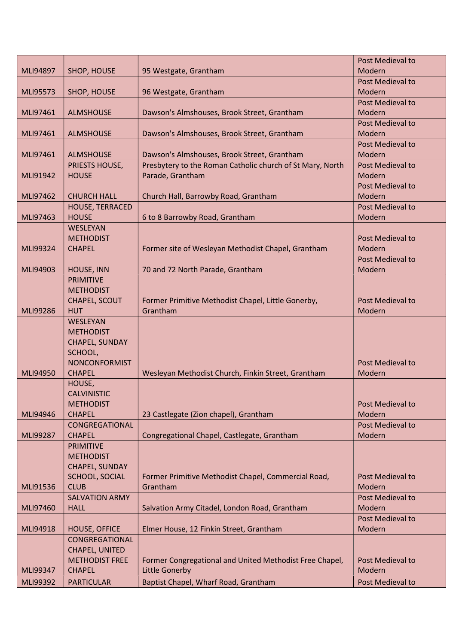|          |                        |                                                           | Post Medieval to           |
|----------|------------------------|-----------------------------------------------------------|----------------------------|
| MLI94897 | SHOP, HOUSE            | 95 Westgate, Grantham                                     | Modern                     |
|          |                        |                                                           | Post Medieval to           |
| MLI95573 | SHOP, HOUSE            | 96 Westgate, Grantham                                     | Modern                     |
|          |                        |                                                           | Post Medieval to           |
| MLI97461 | <b>ALMSHOUSE</b>       | Dawson's Almshouses, Brook Street, Grantham               | Modern                     |
|          |                        |                                                           | Post Medieval to           |
| MLI97461 | <b>ALMSHOUSE</b>       | Dawson's Almshouses, Brook Street, Grantham               | Modern                     |
|          |                        |                                                           | Post Medieval to           |
| MLI97461 | <b>ALMSHOUSE</b>       | Dawson's Almshouses, Brook Street, Grantham               | Modern                     |
|          | PRIESTS HOUSE,         | Presbytery to the Roman Catholic church of St Mary, North | Post Medieval to           |
| MLI91942 | <b>HOUSE</b>           | Parade, Grantham                                          | Modern                     |
|          |                        |                                                           | Post Medieval to           |
| MLI97462 | <b>CHURCH HALL</b>     | Church Hall, Barrowby Road, Grantham                      | Modern                     |
|          | <b>HOUSE, TERRACED</b> |                                                           | Post Medieval to           |
| MLI97463 | <b>HOUSE</b>           | 6 to 8 Barrowby Road, Grantham                            | Modern                     |
|          | WESLEYAN               |                                                           |                            |
|          | <b>METHODIST</b>       |                                                           | Post Medieval to           |
| MLI99324 | <b>CHAPEL</b>          | Former site of Wesleyan Methodist Chapel, Grantham        | Modern                     |
|          |                        |                                                           | Post Medieval to           |
| MLI94903 | HOUSE, INN             | 70 and 72 North Parade, Grantham                          | Modern                     |
|          | <b>PRIMITIVE</b>       |                                                           |                            |
|          | <b>METHODIST</b>       |                                                           |                            |
|          | CHAPEL, SCOUT          | Former Primitive Methodist Chapel, Little Gonerby,        | Post Medieval to           |
| MLI99286 | <b>HUT</b>             | Grantham                                                  | Modern                     |
|          | <b>WESLEYAN</b>        |                                                           |                            |
|          | <b>METHODIST</b>       |                                                           |                            |
|          | CHAPEL, SUNDAY         |                                                           |                            |
|          | SCHOOL,                |                                                           |                            |
|          | <b>NONCONFORMIST</b>   |                                                           | Post Medieval to           |
| MLI94950 | <b>CHAPEL</b>          | Wesleyan Methodist Church, Finkin Street, Grantham        | Modern                     |
|          | HOUSE,                 |                                                           |                            |
|          | <b>CALVINISTIC</b>     |                                                           |                            |
|          | <b>METHODIST</b>       |                                                           | Post Medieval to           |
| MLI94946 | <b>CHAPEL</b>          | 23 Castlegate (Zion chapel), Grantham                     | Modern                     |
|          | CONGREGATIONAL         |                                                           | <b>Post Medieval to</b>    |
| MLI99287 | <b>CHAPEL</b>          | Congregational Chapel, Castlegate, Grantham               | Modern                     |
|          | <b>PRIMITIVE</b>       |                                                           |                            |
|          | <b>METHODIST</b>       |                                                           |                            |
|          | CHAPEL, SUNDAY         |                                                           |                            |
|          | SCHOOL, SOCIAL         | Former Primitive Methodist Chapel, Commercial Road,       | <b>Post Medieval to</b>    |
| MLI91536 | <b>CLUB</b>            | Grantham                                                  | Modern                     |
|          | <b>SALVATION ARMY</b>  |                                                           | Post Medieval to           |
| MLI97460 | <b>HALL</b>            | Salvation Army Citadel, London Road, Grantham             | Modern                     |
|          |                        |                                                           | Post Medieval to           |
| MLI94918 | <b>HOUSE, OFFICE</b>   | Elmer House, 12 Finkin Street, Grantham                   | Modern                     |
|          | CONGREGATIONAL         |                                                           |                            |
|          |                        |                                                           |                            |
|          | CHAPEL, UNITED         |                                                           |                            |
|          | <b>METHODIST FREE</b>  | Former Congregational and United Methodist Free Chapel,   | Post Medieval to<br>Modern |
| MLI99347 | <b>CHAPEL</b>          | <b>Little Gonerby</b>                                     |                            |
| MLI99392 | <b>PARTICULAR</b>      | Baptist Chapel, Wharf Road, Grantham                      | Post Medieval to           |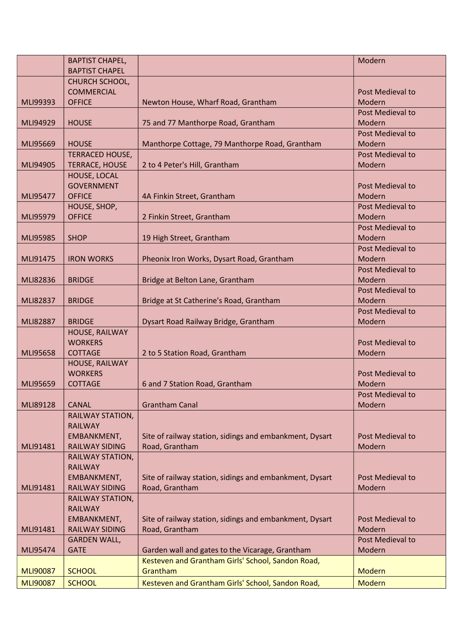|                 | <b>BAPTIST CHAPEL,</b> |                                                         | Modern                  |
|-----------------|------------------------|---------------------------------------------------------|-------------------------|
|                 | <b>BAPTIST CHAPEL</b>  |                                                         |                         |
|                 | CHURCH SCHOOL,         |                                                         |                         |
|                 | <b>COMMERCIAL</b>      |                                                         | Post Medieval to        |
| MLI99393        | <b>OFFICE</b>          | Newton House, Wharf Road, Grantham                      | Modern                  |
|                 |                        |                                                         | Post Medieval to        |
| MLI94929        | <b>HOUSE</b>           | 75 and 77 Manthorpe Road, Grantham                      | Modern                  |
|                 |                        |                                                         | <b>Post Medieval to</b> |
| MLI95669        | <b>HOUSE</b>           | Manthorpe Cottage, 79 Manthorpe Road, Grantham          | Modern                  |
|                 |                        |                                                         | Post Medieval to        |
|                 | <b>TERRACED HOUSE,</b> |                                                         |                         |
| MLI94905        | <b>TERRACE, HOUSE</b>  | 2 to 4 Peter's Hill, Grantham                           | Modern                  |
|                 | HOUSE, LOCAL           |                                                         |                         |
|                 | <b>GOVERNMENT</b>      |                                                         | Post Medieval to        |
| MLI95477        | <b>OFFICE</b>          | 4A Finkin Street, Grantham                              | Modern                  |
|                 | HOUSE, SHOP,           |                                                         | Post Medieval to        |
| MLI95979        | <b>OFFICE</b>          | 2 Finkin Street, Grantham                               | Modern                  |
|                 |                        |                                                         | Post Medieval to        |
| MLI95985        | <b>SHOP</b>            | 19 High Street, Grantham                                | Modern                  |
|                 |                        |                                                         | Post Medieval to        |
| MLI91475        | <b>IRON WORKS</b>      | Pheonix Iron Works, Dysart Road, Grantham               | Modern                  |
|                 |                        |                                                         | Post Medieval to        |
| MLI82836        | <b>BRIDGE</b>          | Bridge at Belton Lane, Grantham                         | Modern                  |
|                 |                        |                                                         | Post Medieval to        |
| MLI82837        | <b>BRIDGE</b>          | Bridge at St Catherine's Road, Grantham                 | Modern                  |
|                 |                        |                                                         | Post Medieval to        |
| <b>MLI82887</b> | <b>BRIDGE</b>          | Dysart Road Railway Bridge, Grantham                    | Modern                  |
|                 | HOUSE, RAILWAY         |                                                         |                         |
|                 | <b>WORKERS</b>         |                                                         | <b>Post Medieval to</b> |
| MLI95658        | <b>COTTAGE</b>         | 2 to 5 Station Road, Grantham                           | Modern                  |
|                 | HOUSE, RAILWAY         |                                                         |                         |
|                 | <b>WORKERS</b>         |                                                         | Post Medieval to        |
| MLI95659        | <b>COTTAGE</b>         |                                                         | Modern                  |
|                 |                        | 6 and 7 Station Road, Grantham                          |                         |
|                 |                        |                                                         | Post Medieval to        |
| MLI89128        | <b>CANAL</b>           | <b>Grantham Canal</b>                                   | Modern                  |
|                 | RAILWAY STATION,       |                                                         |                         |
|                 | <b>RAILWAY</b>         |                                                         |                         |
|                 | EMBANKMENT,            | Site of railway station, sidings and embankment, Dysart | Post Medieval to        |
| MLI91481        | <b>RAILWAY SIDING</b>  | Road, Grantham                                          | Modern                  |
|                 | RAILWAY STATION,       |                                                         |                         |
|                 | <b>RAILWAY</b>         |                                                         |                         |
|                 | EMBANKMENT,            | Site of railway station, sidings and embankment, Dysart | Post Medieval to        |
| MLI91481        | <b>RAILWAY SIDING</b>  | Road, Grantham                                          | Modern                  |
|                 | RAILWAY STATION,       |                                                         |                         |
|                 | <b>RAILWAY</b>         |                                                         |                         |
|                 | EMBANKMENT,            | Site of railway station, sidings and embankment, Dysart | Post Medieval to        |
| MLI91481        | <b>RAILWAY SIDING</b>  | Road, Grantham                                          | Modern                  |
|                 | <b>GARDEN WALL,</b>    |                                                         | Post Medieval to        |
| MLI95474        | <b>GATE</b>            | Garden wall and gates to the Vicarage, Grantham         | Modern                  |
|                 |                        | Kesteven and Grantham Girls' School, Sandon Road,       |                         |
| <b>MLI90087</b> | <b>SCHOOL</b>          | Grantham                                                | <b>Modern</b>           |
| <b>MLI90087</b> | <b>SCHOOL</b>          | Kesteven and Grantham Girls' School, Sandon Road,       | <b>Modern</b>           |
|                 |                        |                                                         |                         |